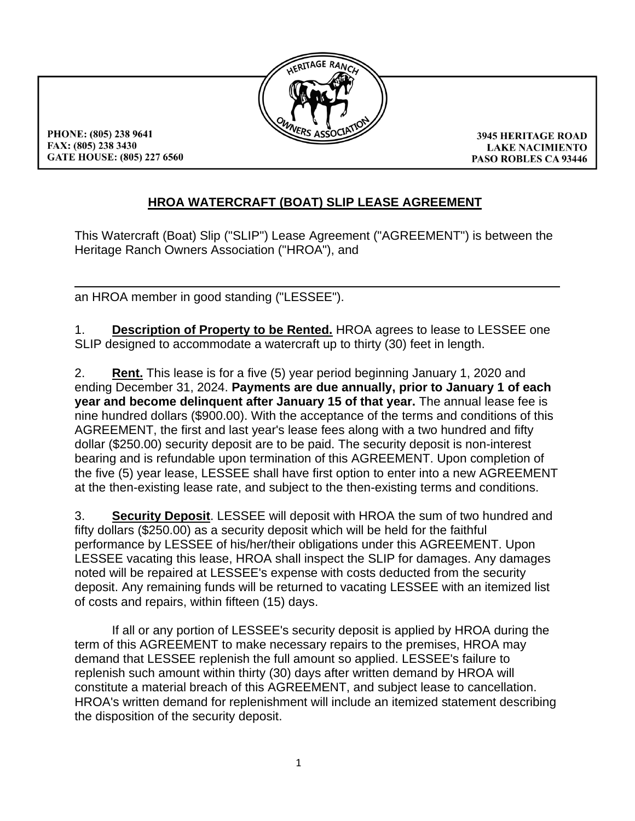

PHONE: (805) 238 9641 FAX: (805) 238 3430 GATE HOUSE: (805) 227 6560

**3945 HERITAGE ROAD LAKE NACIMIENTO PASO ROBLES CA 93446** 

## **HROA WATERCRAFT (BOAT) SLIP LEASE AGREEMENT**

This Watercraft (Boat) Slip ("SLIP") Lease Agreement ("AGREEMENT") is between the Heritage Ranch Owners Association ("HROA"), and

an HROA member in good standing ("LESSEE").

1. **Description of Property to be Rented.** HROA agrees to lease to LESSEE one SLIP designed to accommodate a watercraft up to thirty (30) feet in length.

2. **Rent.** This lease is for a five (5) year period beginning January 1, 2020 and ending December 31, 2024. **Payments are due annually, prior to January 1 of each year and become delinquent after January 15 of that year.** The annual lease fee is nine hundred dollars (\$900.00). With the acceptance of the terms and conditions of this AGREEMENT, the first and last year's lease fees along with a two hundred and fifty dollar (\$250.00) security deposit are to be paid. The security deposit is non-interest bearing and is refundable upon termination of this AGREEMENT. Upon completion of the five (5) year lease, LESSEE shall have first option to enter into a new AGREEMENT at the then-existing lease rate, and subject to the then-existing terms and conditions.

3. **Security Deposit**. LESSEE will deposit with HROA the sum of two hundred and fifty dollars (\$250.00) as a security deposit which will be held for the faithful performance by LESSEE of his/her/their obligations under this AGREEMENT. Upon LESSEE vacating this lease, HROA shall inspect the SLIP for damages. Any damages noted will be repaired at LESSEE's expense with costs deducted from the security deposit. Any remaining funds will be returned to vacating LESSEE with an itemized list of costs and repairs, within fifteen (15) days.

If all or any portion of LESSEE's security deposit is applied by HROA during the term of this AGREEMENT to make necessary repairs to the premises, HROA may demand that LESSEE replenish the full amount so applied. LESSEE's failure to replenish such amount within thirty (30) days after written demand by HROA will constitute a material breach of this AGREEMENT, and subject lease to cancellation. HROA's written demand for replenishment will include an itemized statement describing the disposition of the security deposit.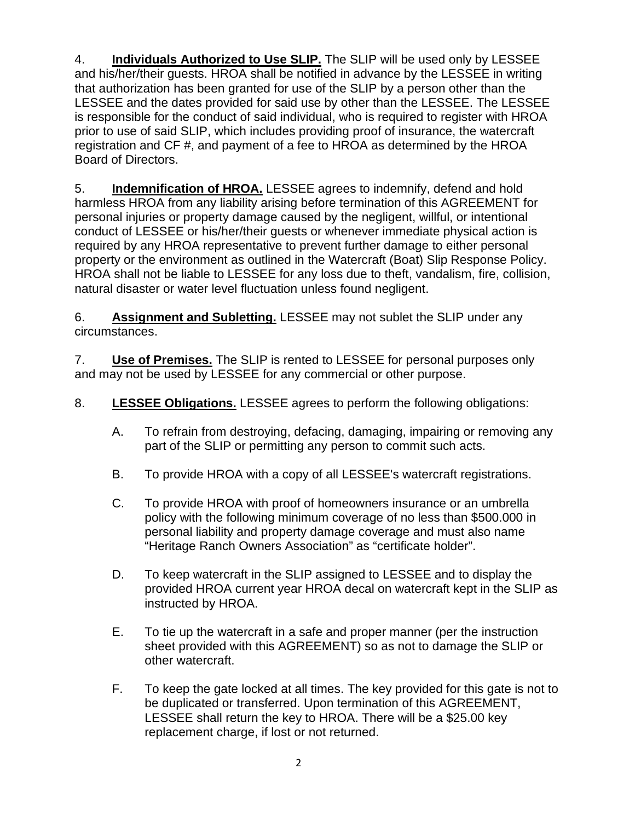4. **Individuals Authorized to Use SLIP.** The SLIP will be used only by LESSEE and his/her/their guests. HROA shall be notified in advance by the LESSEE in writing that authorization has been granted for use of the SLIP by a person other than the LESSEE and the dates provided for said use by other than the LESSEE. The LESSEE is responsible for the conduct of said individual, who is required to register with HROA prior to use of said SLIP, which includes providing proof of insurance, the watercraft registration and CF #, and payment of a fee to HROA as determined by the HROA Board of Directors.

5. **Indemnification of HROA.** LESSEE agrees to indemnify, defend and hold harmless HROA from any liability arising before termination of this AGREEMENT for personal injuries or property damage caused by the negligent, willful, or intentional conduct of LESSEE or his/her/their guests or whenever immediate physical action is required by any HROA representative to prevent further damage to either personal property or the environment as outlined in the Watercraft (Boat) Slip Response Policy. HROA shall not be liable to LESSEE for any loss due to theft, vandalism, fire, collision, natural disaster or water level fluctuation unless found negligent.

6. **Assignment and Subletting.** LESSEE may not sublet the SLIP under any circumstances.

7. **Use of Premises.** The SLIP is rented to LESSEE for personal purposes only and may not be used by LESSEE for any commercial or other purpose.

8. **LESSEE Obligations.** LESSEE agrees to perform the following obligations:

- A. To refrain from destroying, defacing, damaging, impairing or removing any part of the SLIP or permitting any person to commit such acts.
- B. To provide HROA with a copy of all LESSEE's watercraft registrations.
- C. To provide HROA with proof of homeowners insurance or an umbrella policy with the following minimum coverage of no less than \$500.000 in personal liability and property damage coverage and must also name "Heritage Ranch Owners Association" as "certificate holder".
- D. To keep watercraft in the SLIP assigned to LESSEE and to display the provided HROA current year HROA decal on watercraft kept in the SLIP as instructed by HROA.
- E. To tie up the watercraft in a safe and proper manner (per the instruction sheet provided with this AGREEMENT) so as not to damage the SLIP or other watercraft.
- F. To keep the gate locked at all times. The key provided for this gate is not to be duplicated or transferred. Upon termination of this AGREEMENT, LESSEE shall return the key to HROA. There will be a \$25.00 key replacement charge, if lost or not returned.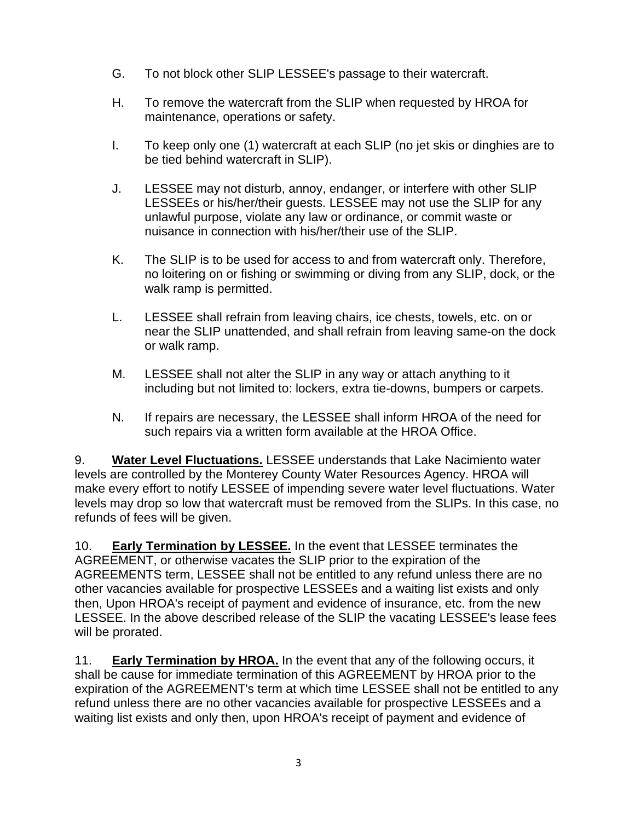- G. To not block other SLIP LESSEE's passage to their watercraft.
- H. To remove the watercraft from the SLIP when requested by HROA for maintenance, operations or safety.
- I. To keep only one (1) watercraft at each SLIP (no jet skis or dinghies are to be tied behind watercraft in SLIP).
- J. LESSEE may not disturb, annoy, endanger, or interfere with other SLIP LESSEEs or his/her/their guests. LESSEE may not use the SLIP for any unlawful purpose, violate any law or ordinance, or commit waste or nuisance in connection with his/her/their use of the SLIP.
- K. The SLIP is to be used for access to and from watercraft only. Therefore, no loitering on or fishing or swimming or diving from any SLIP, dock, or the walk ramp is permitted.
- L. LESSEE shall refrain from leaving chairs, ice chests, towels, etc. on or near the SLIP unattended, and shall refrain from leaving same-on the dock or walk ramp.
- M. LESSEE shall not alter the SLIP in any way or attach anything to it including but not limited to: lockers, extra tie-downs, bumpers or carpets.
- N. If repairs are necessary, the LESSEE shall inform HROA of the need for such repairs via a written form available at the HROA Office.

9. **Water Level Fluctuations.** LESSEE understands that Lake Nacimiento water levels are controlled by the Monterey County Water Resources Agency. HROA will make every effort to notify LESSEE of impending severe water level fluctuations. Water levels may drop so low that watercraft must be removed from the SLIPs. In this case, no refunds of fees will be given.

10. **Early Termination by LESSEE.** In the event that LESSEE terminates the AGREEMENT, or otherwise vacates the SLIP prior to the expiration of the AGREEMENTS term, LESSEE shall not be entitled to any refund unless there are no other vacancies available for prospective LESSEEs and a waiting list exists and only then, Upon HROA's receipt of payment and evidence of insurance, etc. from the new LESSEE. In the above described release of the SLIP the vacating LESSEE's lease fees will be prorated.

11. **Early Termination by HROA.** In the event that any of the following occurs, it shall be cause for immediate termination of this AGREEMENT by HROA prior to the expiration of the AGREEMENT's term at which time LESSEE shall not be entitled to any refund unless there are no other vacancies available for prospective LESSEEs and a waiting list exists and only then, upon HROA's receipt of payment and evidence of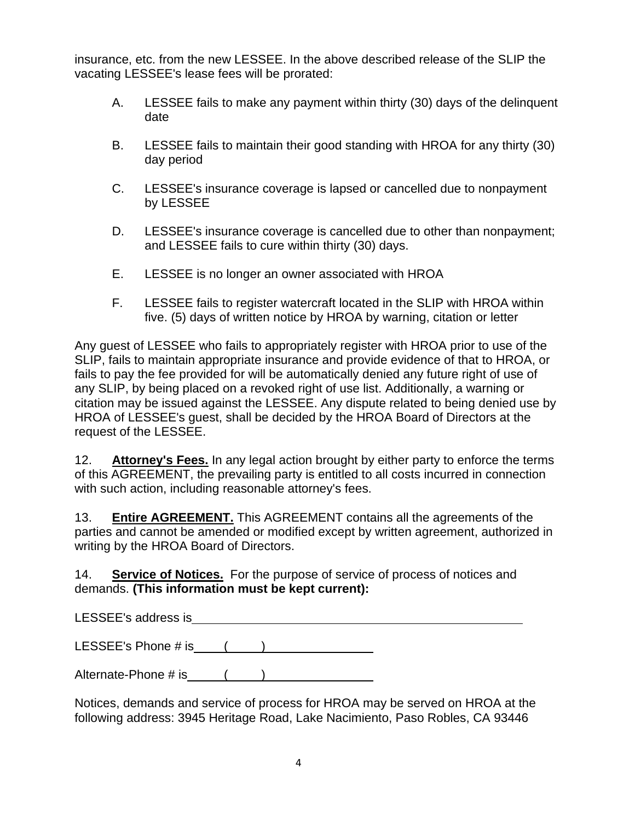insurance, etc. from the new LESSEE. In the above described release of the SLIP the vacating LESSEE's lease fees will be prorated:

- A. LESSEE fails to make any payment within thirty (30) days of the delinquent date
- B. LESSEE fails to maintain their good standing with HROA for any thirty (30) day period
- C. LESSEE's insurance coverage is lapsed or cancelled due to nonpayment by LESSEE
- D. LESSEE's insurance coverage is cancelled due to other than nonpayment; and LESSEE fails to cure within thirty (30) days.
- E. LESSEE is no longer an owner associated with HROA
- F. LESSEE fails to register watercraft located in the SLIP with HROA within five. (5) days of written notice by HROA by warning, citation or letter

Any guest of LESSEE who fails to appropriately register with HROA prior to use of the SLIP, fails to maintain appropriate insurance and provide evidence of that to HROA, or fails to pay the fee provided for will be automatically denied any future right of use of any SLIP, by being placed on a revoked right of use list. Additionally, a warning or citation may be issued against the LESSEE. Any dispute related to being denied use by HROA of LESSEE's guest, shall be decided by the HROA Board of Directors at the request of the LESSEE.

12. **Attorney's Fees.** In any legal action brought by either party to enforce the terms of this AGREEMENT, the prevailing party is entitled to all costs incurred in connection with such action, including reasonable attorney's fees.

13. **Entire AGREEMENT.** This AGREEMENT contains all the agreements of the parties and cannot be amended or modified except by written agreement, authorized in writing by the HROA Board of Directors.

14. **Service of Notices.** For the purpose of service of process of notices and demands. **(This information must be kept current):**

LESSEE's address is experience of the state of the state of the state of the state of the state of the state of the state of the state of the state of the state of the state of the state of the state of the state of the st

LESSEE's Phone  $\#$  is  $($   $)$ 

Alternate-Phone  $\#$  is  $( )$ 

Notices, demands and service of process for HROA may be served on HROA at the following address: 3945 Heritage Road, Lake Nacimiento, Paso Robles, CA 93446